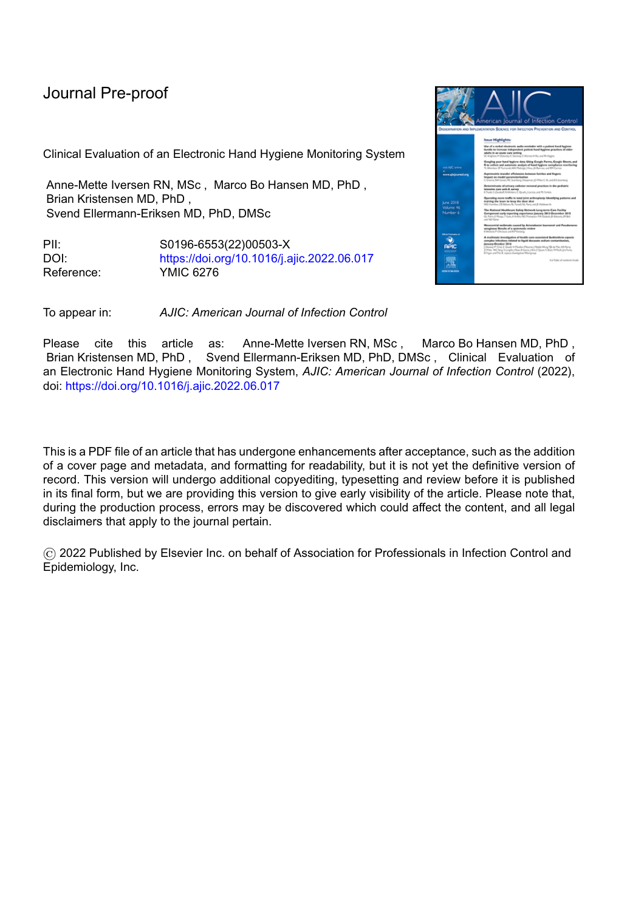# Journal Pre-proof

Clinical Evaluation of an Electronic Hand Hygiene Monitoring System

Anne-Mette Iversen RN, MSc , Marco Bo Hansen MD, PhD , Brian Kristensen MD, PhD , Svend Ellermann-Eriksen MD, PhD, DMSc

PII: S0196-6553(22)00503-X DOI: <https://doi.org/10.1016/j.ajic.2022.06.017> Reference: YMIC 6276



To appear in: *AJIC: American Journal of Infection Control*

Please cite this article as: Anne-Mette Iversen RN, MSc , Marco Bo Hansen MD, PhD , Brian Kristensen MD, PhD , Svend Ellermann-Eriksen MD, PhD, DMSc , Clinical Evaluation of an Electronic Hand Hygiene Monitoring System, *AJIC: American Journal of Infection Control* (2022), doi: <https://doi.org/10.1016/j.ajic.2022.06.017>

This is a PDF file of an article that has undergone enhancements after acceptance, such as the addition of a cover page and metadata, and formatting for readability, but it is not yet the definitive version of record. This version will undergo additional copyediting, typesetting and review before it is published in its final form, but we are providing this version to give early visibility of the article. Please note that, during the production process, errors may be discovered which could affect the content, and all legal disclaimers that apply to the journal pertain.

© 2022 Published by Elsevier Inc. on behalf of Association for Professionals in Infection Control and Epidemiology, Inc.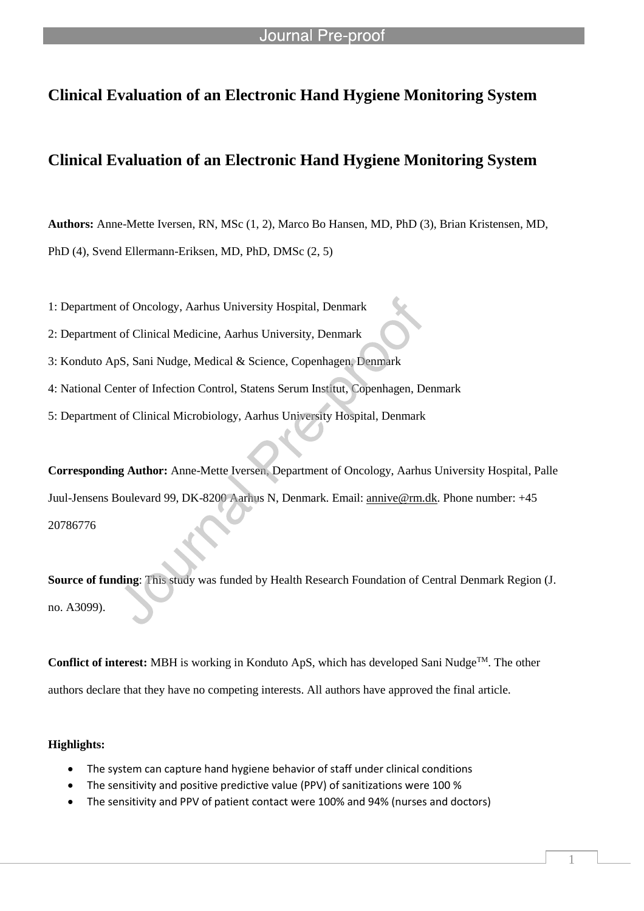## **Clinical Evaluation of an Electronic Hand Hygiene Monitoring System**

## **Clinical Evaluation of an Electronic Hand Hygiene Monitoring System**

**Authors:** Anne-Mette Iversen, RN, MSc (1, 2), Marco Bo Hansen, MD, PhD (3), Brian Kristensen, MD, PhD (4), Svend Ellermann-Eriksen, MD, PhD, DMSc (2, 5)

1: Department of Oncology, Aarhus University Hospital, Denmark

- 2: Department of Clinical Medicine, Aarhus University, Denmark
- 3: Konduto ApS, Sani Nudge, Medical & Science, Copenhagen, Denmark

l

- 4: National Center of Infection Control, Statens Serum Institut, Copenhagen, Denmark
- 5: Department of Clinical Microbiology, Aarhus University Hospital, Denmark

**Corresponding Author:** Anne-Mette Iversen, Department of Oncology, Aarhus University Hospital, Palle Juul-Jensens Boulevard 99, DK-8200 Aarhus N, Denmark. Email: annive@rm.dk. Phone number: +45 20786776

**Source of funding**: This study was funded by Health Research Foundation of Central Denmark Region (J. no. A3099).

**Conflict of interest:** MBH is working in Konduto ApS, which has developed Sani Nudge<sup>TM</sup>. The other authors declare that they have no competing interests. All authors have approved the final article.

### **Highlights:**

- The system can capture hand hygiene behavior of staff under clinical conditions
- The sensitivity and positive predictive value (PPV) of sanitizations were 100 %
- The sensitivity and PPV of patient contact were 100% and 94% (nurses and doctors)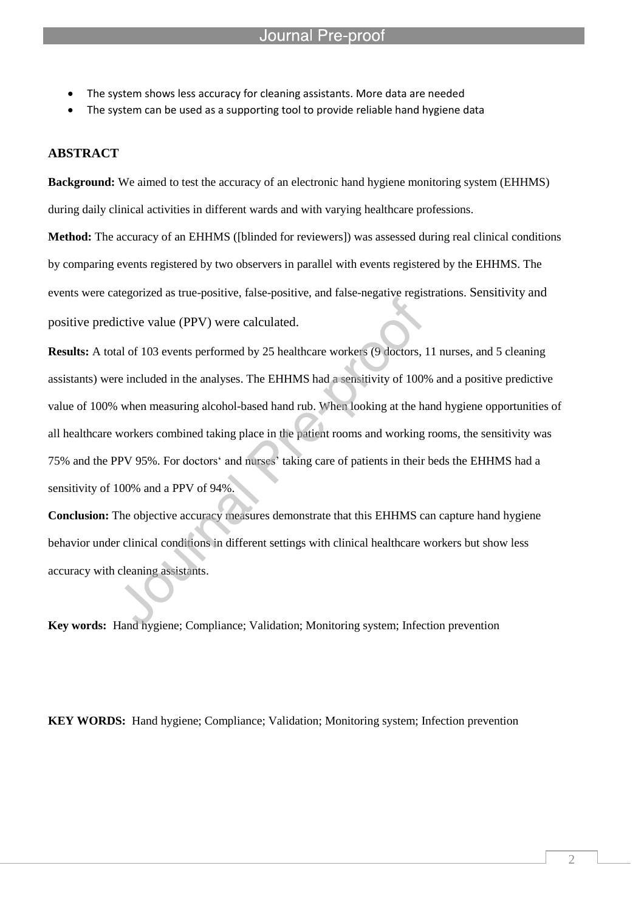The system shows less accuracy for cleaning assistants. More data are needed

l

The system can be used as a supporting tool to provide reliable hand hygiene data

## **ABSTRACT**

**Background:** We aimed to test the accuracy of an electronic hand hygiene monitoring system (EHHMS) during daily clinical activities in different wards and with varying healthcare professions.

**Method:** The accuracy of an EHHMS ([blinded for reviewers]) was assessed during real clinical conditions by comparing events registered by two observers in parallel with events registered by the EHHMS. The events were categorized as true-positive, false-positive, and false-negative registrations. Sensitivity and positive predictive value (PPV) were calculated.

**Results:** A total of 103 events performed by 25 healthcare workers (9 doctors, 11 nurses, and 5 cleaning assistants) were included in the analyses. The EHHMS had a sensitivity of 100% and a positive predictive value of 100% when measuring alcohol-based hand rub. When looking at the hand hygiene opportunities of all healthcare workers combined taking place in the patient rooms and working rooms, the sensitivity was 75% and the PPV 95%. For doctors' and nurses' taking care of patients in their beds the EHHMS had a sensitivity of 100% and a PPV of 94%.

**Conclusion:** The objective accuracy measures demonstrate that this EHHMS can capture hand hygiene behavior under clinical conditions in different settings with clinical healthcare workers but show less accuracy with cleaning assistants.

**Key words:** Hand hygiene; Compliance; Validation; Monitoring system; Infection prevention

**KEY WORDS:** Hand hygiene; Compliance; Validation; Monitoring system; Infection prevention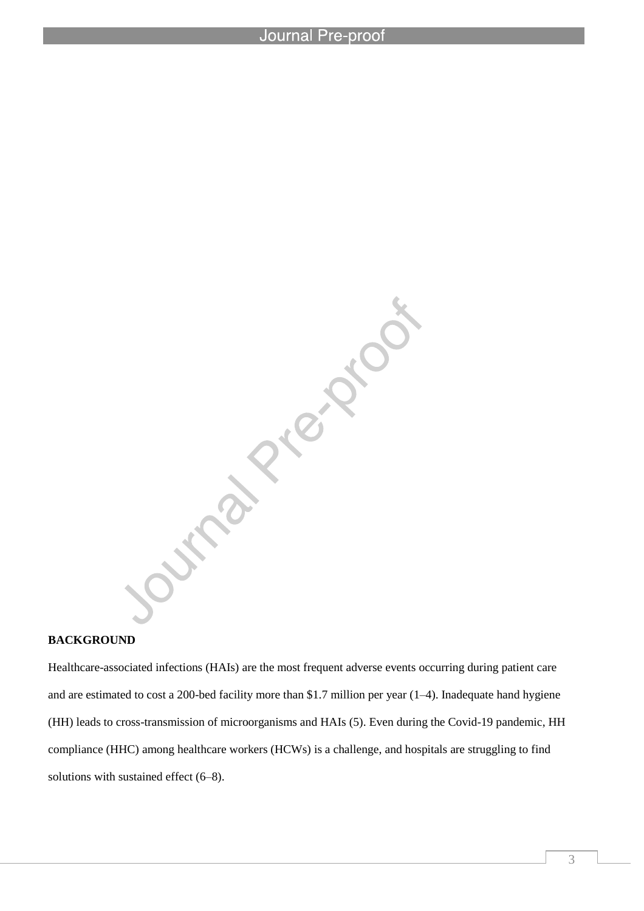l

**BACKGROUND**<br>BACKGROUND<br>Healthcare-associated information

Healthcare-associated infections (HAIs) are the most frequent adverse events occurring during patient care and are estimated to cost a 200-bed facility more than \$1.7 million per year (1–4). Inadequate hand hygiene (HH) leads to cross-transmission of microorganisms and HAIs (5). Even during the Covid-19 pandemic, HH compliance (HHC) among healthcare workers (HCWs) is a challenge, and hospitals are struggling to find solutions with sustained effect (6–8).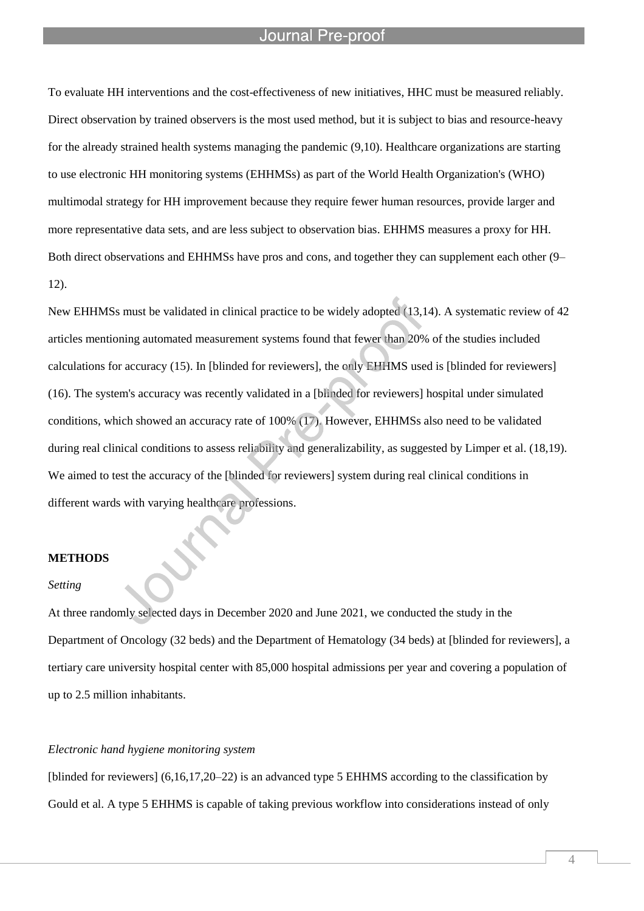#### Journal Pre-proot

l

To evaluate HH interventions and the cost-effectiveness of new initiatives, HHC must be measured reliably. Direct observation by trained observers is the most used method, but it is subject to bias and resource-heavy for the already strained health systems managing the pandemic (9,10). Healthcare organizations are starting to use electronic HH monitoring systems (EHHMSs) as part of the World Health Organization's (WHO) multimodal strategy for HH improvement because they require fewer human resources, provide larger and more representative data sets, and are less subject to observation bias. EHHMS measures a proxy for HH. Both direct observations and EHHMSs have pros and cons, and together they can supplement each other (9– 12).

New EHHMSs must be validated in clinical practice to be widely adopted (13,14). A systematic review of 42 articles mentioning automated measurement systems found that fewer than 20% of the studies included calculations for accuracy (15). In [blinded for reviewers], the only EHHMS used is [blinded for reviewers] (16). The system's accuracy was recently validated in a [blinded for reviewers] hospital under simulated conditions, which showed an accuracy rate of 100% (17). However, EHHMSs also need to be validated during real clinical conditions to assess reliability and generalizability, as suggested by Limper et al. (18,19). We aimed to test the accuracy of the [blinded for reviewers] system during real clinical conditions in different wards with varying healthcare professions.

#### **METHODS**

#### *Setting*

At three randomly selected days in December 2020 and June 2021, we conducted the study in the Department of Oncology (32 beds) and the Department of Hematology (34 beds) at [blinded for reviewers], a tertiary care university hospital center with 85,000 hospital admissions per year and covering a population of up to 2.5 million inhabitants.

#### *Electronic hand hygiene monitoring system*

[blinded for reviewers] (6,16,17,20–22) is an advanced type 5 EHHMS according to the classification by Gould et al. A type 5 EHHMS is capable of taking previous workflow into considerations instead of only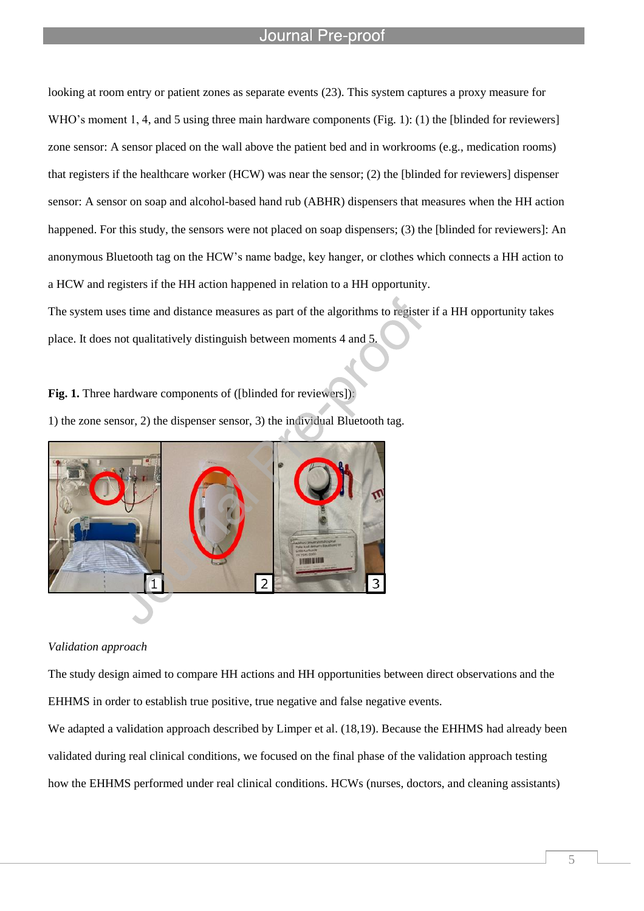## Journal Pre-proof

looking at room entry or patient zones as separate events (23). This system captures a proxy measure for WHO's moment 1, 4, and 5 using three main hardware components (Fig. 1): (1) the [blinded for reviewers] zone sensor: A sensor placed on the wall above the patient bed and in workrooms (e.g., medication rooms) that registers if the healthcare worker (HCW) was near the sensor; (2) the [blinded for reviewers] dispenser sensor: A sensor on soap and alcohol-based hand rub (ABHR) dispensers that measures when the HH action happened. For this study, the sensors were not placed on soap dispensers; (3) the [blinded for reviewers]: An anonymous Bluetooth tag on the HCW's name badge, key hanger, or clothes which connects a HH action to a HCW and registers if the HH action happened in relation to a HH opportunity.

The system uses time and distance measures as part of the algorithms to register if a HH opportunity takes place. It does not qualitatively distinguish between moments 4 and 5.

**Fig. 1.** Three hardware components of ([blinded for reviewers]):



l



#### *Validation approach*

The study design aimed to compare HH actions and HH opportunities between direct observations and the EHHMS in order to establish true positive, true negative and false negative events.

We adapted a validation approach described by Limper et al. (18,19). Because the EHHMS had already been validated during real clinical conditions, we focused on the final phase of the validation approach testing how the EHHMS performed under real clinical conditions. HCWs (nurses, doctors, and cleaning assistants)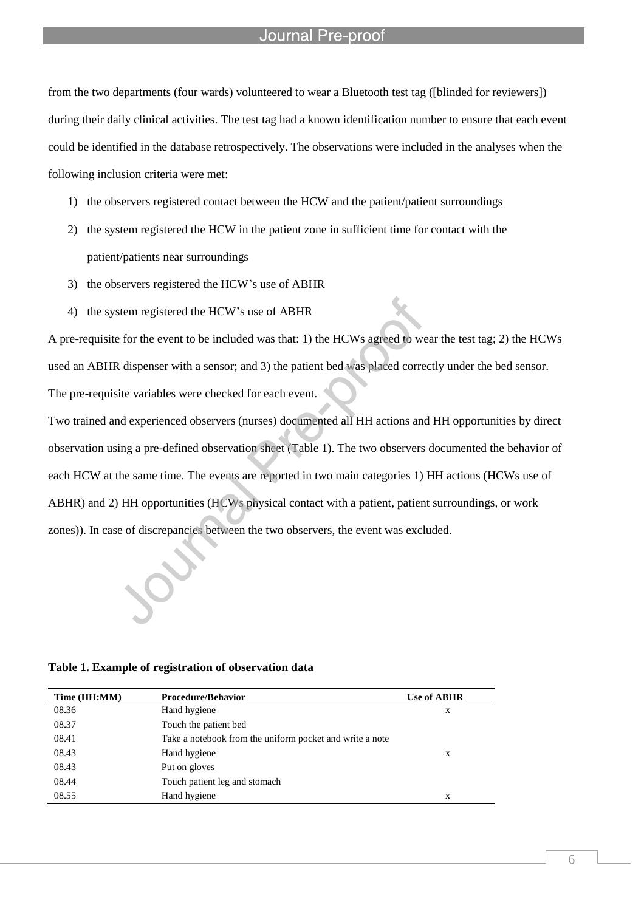#### Journal Pre-proo

from the two departments (four wards) volunteered to wear a Bluetooth test tag ([blinded for reviewers]) during their daily clinical activities. The test tag had a known identification number to ensure that each event could be identified in the database retrospectively. The observations were included in the analyses when the following inclusion criteria were met:

- 1) the observers registered contact between the HCW and the patient/patient surroundings
- 2) the system registered the HCW in the patient zone in sufficient time for contact with the patient/patients near surroundings
- 3) the observers registered the HCW's use of ABHR

l

4) the system registered the HCW's use of ABHR

A pre-requisite for the event to be included was that: 1) the HCWs agreed to wear the test tag; 2) the HCWs used an ABHR dispenser with a sensor; and 3) the patient bed was placed correctly under the bed sensor. The pre-requisite variables were checked for each event.

Two trained and experienced observers (nurses) documented all HH actions and HH opportunities by direct observation using a pre-defined observation sheet (Table 1). The two observers documented the behavior of each HCW at the same time. The events are reported in two main categories 1) HH actions (HCWs use of ABHR) and 2) HH opportunities (HCWs physical contact with a patient, patient surroundings, or work zones)). In case of discrepancies between the two observers, the event was excluded.

**Table 1. Example of registration of observation data**

| Time (HH:MM) | <b>Procedure/Behavior</b>                                | <b>Use of ABHR</b> |
|--------------|----------------------------------------------------------|--------------------|
| 08.36        | Hand hygiene                                             | X                  |
| 08.37        | Touch the patient bed                                    |                    |
| 08.41        | Take a notebook from the uniform pocket and write a note |                    |
| 08.43        | Hand hygiene                                             | X                  |
| 08.43        | Put on gloves                                            |                    |
| 08.44        | Touch patient leg and stomach                            |                    |
| 08.55        | Hand hygiene                                             | X                  |
|              |                                                          |                    |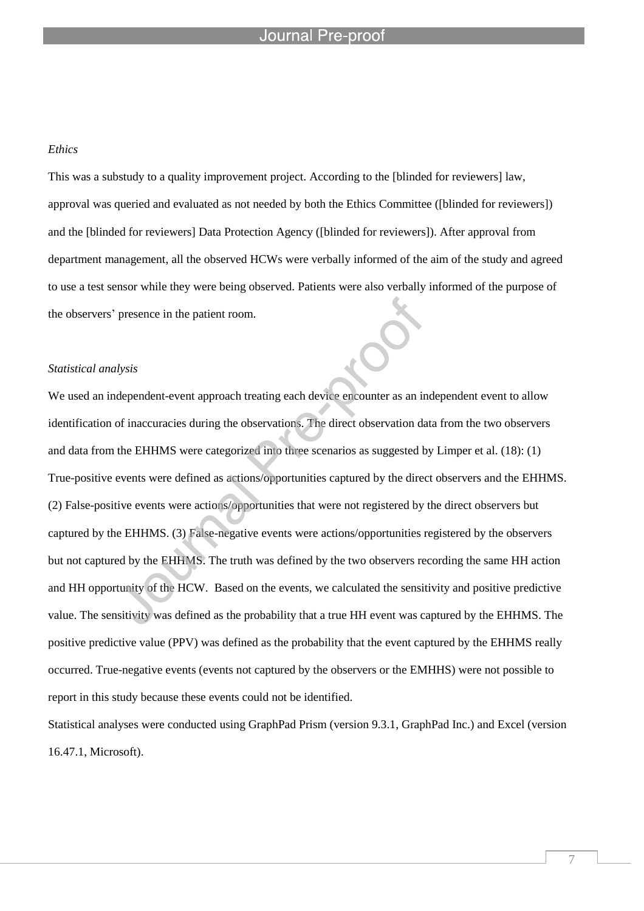### Journal

l

#### *Ethics*

This was a substudy to a quality improvement project. According to the [blinded for reviewers] law, approval was queried and evaluated as not needed by both the Ethics Committee ([blinded for reviewers]) and the [blinded for reviewers] Data Protection Agency ([blinded for reviewers]). After approval from department management, all the observed HCWs were verbally informed of the aim of the study and agreed to use a test sensor while they were being observed. Patients were also verbally informed of the purpose of the observers' presence in the patient room.

#### *Statistical analysis*

We used an independent-event approach treating each device encounter as an independent event to allow identification of inaccuracies during the observations. The direct observation data from the two observers and data from the EHHMS were categorized into three scenarios as suggested by Limper et al. (18): (1) True-positive events were defined as actions/opportunities captured by the direct observers and the EHHMS. (2) False-positive events were actions/opportunities that were not registered by the direct observers but captured by the EHHMS. (3) False-negative events were actions/opportunities registered by the observers but not captured by the EHHMS. The truth was defined by the two observers recording the same HH action and HH opportunity of the HCW. Based on the events, we calculated the sensitivity and positive predictive value. The sensitivity was defined as the probability that a true HH event was captured by the EHHMS. The positive predictive value (PPV) was defined as the probability that the event captured by the EHHMS really occurred. True-negative events (events not captured by the observers or the EMHHS) were not possible to report in this study because these events could not be identified.

Statistical analyses were conducted using GraphPad Prism (version 9.3.1, GraphPad Inc.) and Excel (version 16.47.1, Microsoft).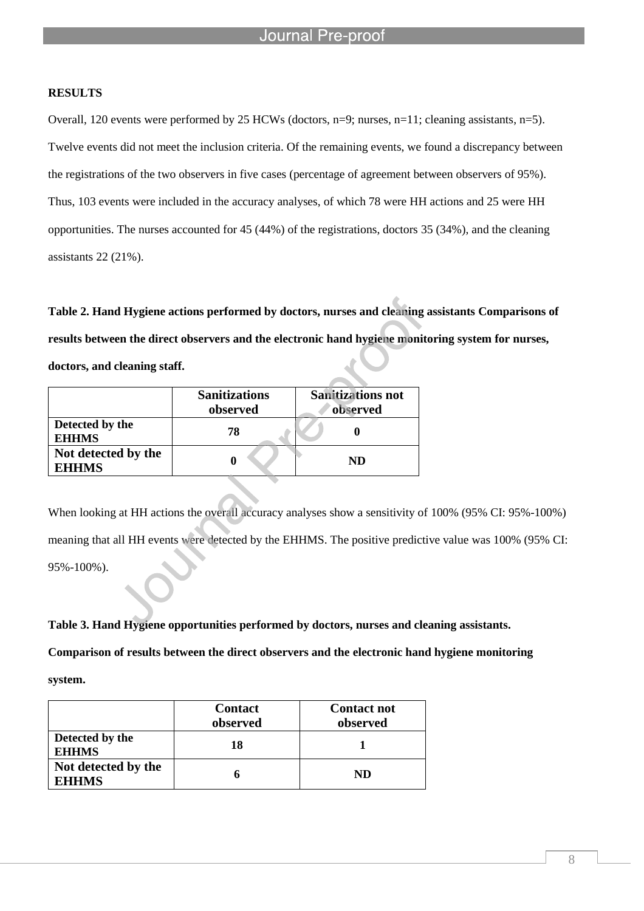#### **RESULTS**

Overall, 120 events were performed by 25 HCWs (doctors, n=9; nurses, n=11; cleaning assistants, n=5). Twelve events did not meet the inclusion criteria. Of the remaining events, we found a discrepancy between the registrations of the two observers in five cases (percentage of agreement between observers of 95%). Thus, 103 events were included in the accuracy analyses, of which 78 were HH actions and 25 were HH opportunities. The nurses accounted for 45 (44%) of the registrations, doctors 35 (34%), and the cleaning assistants 22 (21%).

**Table 2. Hand Hygiene actions performed by doctors, nurses and cleaning assistants Comparisons of results between the direct observers and the electronic hand hygiene monitoring system for nurses, doctors, and cleaning staff.**

|                                     | <b>Sanitizations</b><br>observed | <b>Sanitizations not</b><br>observed |
|-------------------------------------|----------------------------------|--------------------------------------|
| Detected by the<br><b>EHHMS</b>     | 78                               |                                      |
| Not detected by the<br><b>EHHMS</b> |                                  | ND                                   |

l

When looking at HH actions the overall accuracy analyses show a sensitivity of 100% (95% CI: 95%-100%) meaning that all HH events were detected by the EHHMS. The positive predictive value was 100% (95% CI: 95%-100%).

**Table 3. Hand Hygiene opportunities performed by doctors, nurses and cleaning assistants.** 

**Comparison of results between the direct observers and the electronic hand hygiene monitoring** 

**system.**

|                                     | <b>Contact</b><br>observed | <b>Contact not</b><br>observed |
|-------------------------------------|----------------------------|--------------------------------|
| Detected by the<br><b>EHHMS</b>     | 18                         |                                |
| Not detected by the<br><b>EHHMS</b> |                            | ND                             |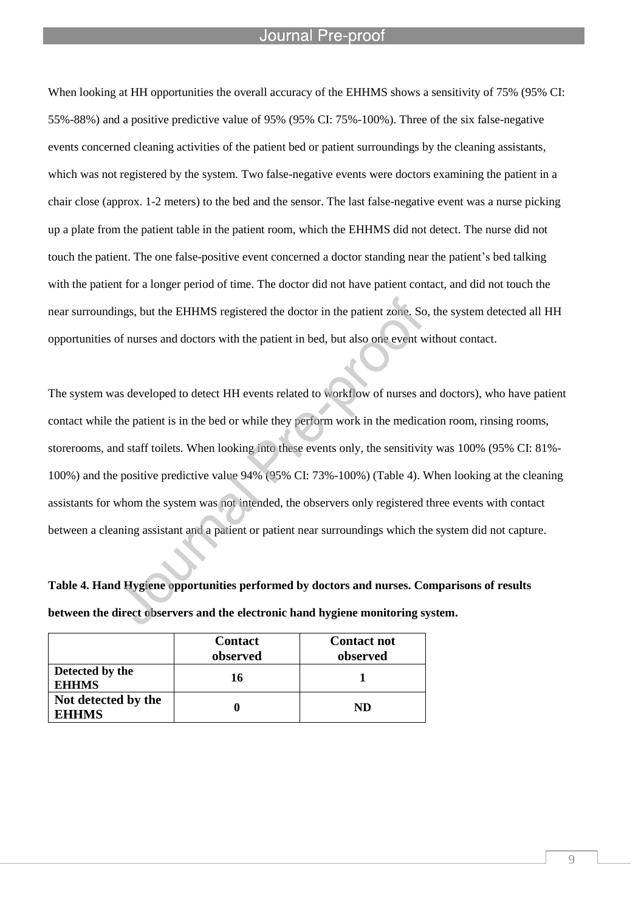#### Journal Pre-proo

l

When looking at HH opportunities the overall accuracy of the EHHMS shows a sensitivity of 75% (95% CI: 55%-88%) and a positive predictive value of 95% (95% CI: 75%-100%). Three of the six false-negative events concerned cleaning activities of the patient bed or patient surroundings by the cleaning assistants, which was not registered by the system. Two false-negative events were doctors examining the patient in a chair close (approx. 1-2 meters) to the bed and the sensor. The last false-negative event was a nurse picking up a plate from the patient table in the patient room, which the EHHMS did not detect. The nurse did not touch the patient. The one false-positive event concerned a doctor standing near the patient's bed talking with the patient for a longer period of time. The doctor did not have patient contact, and did not touch the near surroundings, but the EHHMS registered the doctor in the patient zone. So, the system detected all HH opportunities of nurses and doctors with the patient in bed, but also one event without contact.

The system was developed to detect HH events related to workflow of nurses and doctors), who have patient contact while the patient is in the bed or while they perform work in the medication room, rinsing rooms, storerooms, and staff toilets. When looking into these events only, the sensitivity was 100% (95% CI: 81%- 100%) and the positive predictive value 94% (95% CI: 73%-100%) (Table 4). When looking at the cleaning assistants for whom the system was not intended, the observers only registered three events with contact between a cleaning assistant and a patient or patient near surroundings which the system did not capture.

**Table 4. Hand Hygiene opportunities performed by doctors and nurses. Comparisons of results between the direct observers and the electronic hand hygiene monitoring system.**

|                                     | <b>Contact</b><br>observed | <b>Contact not</b><br>observed |
|-------------------------------------|----------------------------|--------------------------------|
| Detected by the<br><b>EHHMS</b>     | 16                         |                                |
| Not detected by the<br><b>EHHMS</b> |                            | ND                             |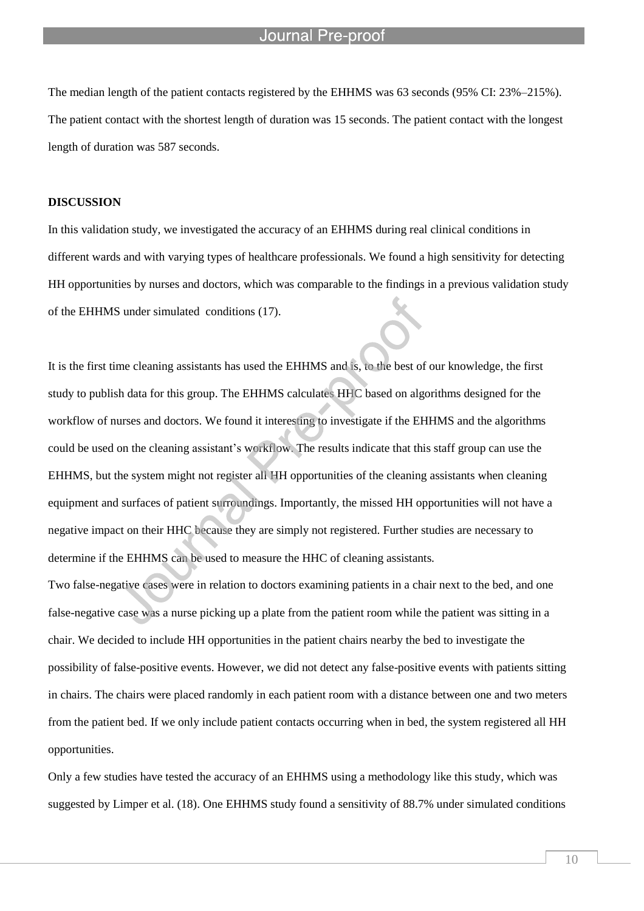The median length of the patient contacts registered by the EHHMS was 63 seconds (95% CI: 23%–215%). The patient contact with the shortest length of duration was 15 seconds. The patient contact with the longest length of duration was 587 seconds.

l

#### **DISCUSSION**

In this validation study, we investigated the accuracy of an EHHMS during real clinical conditions in different wards and with varying types of healthcare professionals. We found a high sensitivity for detecting HH opportunities by nurses and doctors, which was comparable to the findings in a previous validation study of the EHHMS under simulated conditions (17).

It is the first time cleaning assistants has used the EHHMS and is, to the best of our knowledge, the first study to publish data for this group. The EHHMS calculates HHC based on algorithms designed for the workflow of nurses and doctors. We found it interesting to investigate if the EHHMS and the algorithms could be used on the cleaning assistant's workflow. The results indicate that this staff group can use the EHHMS, but the system might not register all HH opportunities of the cleaning assistants when cleaning equipment and surfaces of patient surroundings. Importantly, the missed HH opportunities will not have a negative impact on their HHC because they are simply not registered. Further studies are necessary to determine if the EHHMS can be used to measure the HHC of cleaning assistants.

Two false-negative cases were in relation to doctors examining patients in a chair next to the bed, and one false-negative case was a nurse picking up a plate from the patient room while the patient was sitting in a chair. We decided to include HH opportunities in the patient chairs nearby the bed to investigate the possibility of false-positive events. However, we did not detect any false-positive events with patients sitting in chairs. The chairs were placed randomly in each patient room with a distance between one and two meters from the patient bed. If we only include patient contacts occurring when in bed, the system registered all HH opportunities.

Only a few studies have tested the accuracy of an EHHMS using a methodology like this study, which was suggested by Limper et al. (18). One EHHMS study found a sensitivity of 88.7% under simulated conditions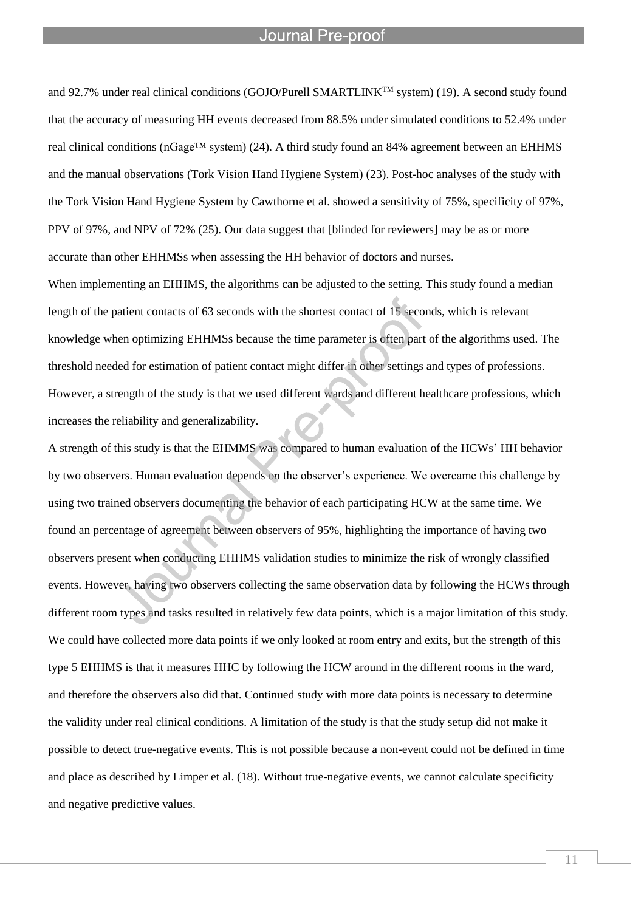### Journal Pre-proof

l

and 92.7% under real clinical conditions (GOJO/Purell SMARTLINK<sup>TM</sup> system) (19). A second study found that the accuracy of measuring HH events decreased from 88.5% under simulated conditions to 52.4% under real clinical conditions (nGage™ system) (24). A third study found an 84% agreement between an EHHMS and the manual observations (Tork Vision Hand Hygiene System) (23). Post-hoc analyses of the study with the Tork Vision Hand Hygiene System by Cawthorne et al. showed a sensitivity of 75%, specificity of 97%, PPV of 97%, and NPV of 72% (25). Our data suggest that [blinded for reviewers] may be as or more accurate than other EHHMSs when assessing the HH behavior of doctors and nurses.

When implementing an EHHMS, the algorithms can be adjusted to the setting. This study found a median length of the patient contacts of 63 seconds with the shortest contact of 15 seconds, which is relevant knowledge when optimizing EHHMSs because the time parameter is often part of the algorithms used. The threshold needed for estimation of patient contact might differ in other settings and types of professions. However, a strength of the study is that we used different wards and different healthcare professions, which increases the reliability and generalizability.

A strength of this study is that the EHMMS was compared to human evaluation of the HCWs' HH behavior by two observers. Human evaluation depends on the observer's experience. We overcame this challenge by using two trained observers documenting the behavior of each participating HCW at the same time. We found an percentage of agreement between observers of 95%, highlighting the importance of having two observers present when conducting EHHMS validation studies to minimize the risk of wrongly classified events. However, having two observers collecting the same observation data by following the HCWs through different room types and tasks resulted in relatively few data points, which is a major limitation of this study. We could have collected more data points if we only looked at room entry and exits, but the strength of this type 5 EHHMS is that it measures HHC by following the HCW around in the different rooms in the ward, and therefore the observers also did that. Continued study with more data points is necessary to determine the validity under real clinical conditions. A limitation of the study is that the study setup did not make it possible to detect true-negative events. This is not possible because a non-event could not be defined in time and place as described by Limper et al. (18). Without true-negative events, we cannot calculate specificity and negative predictive values.

11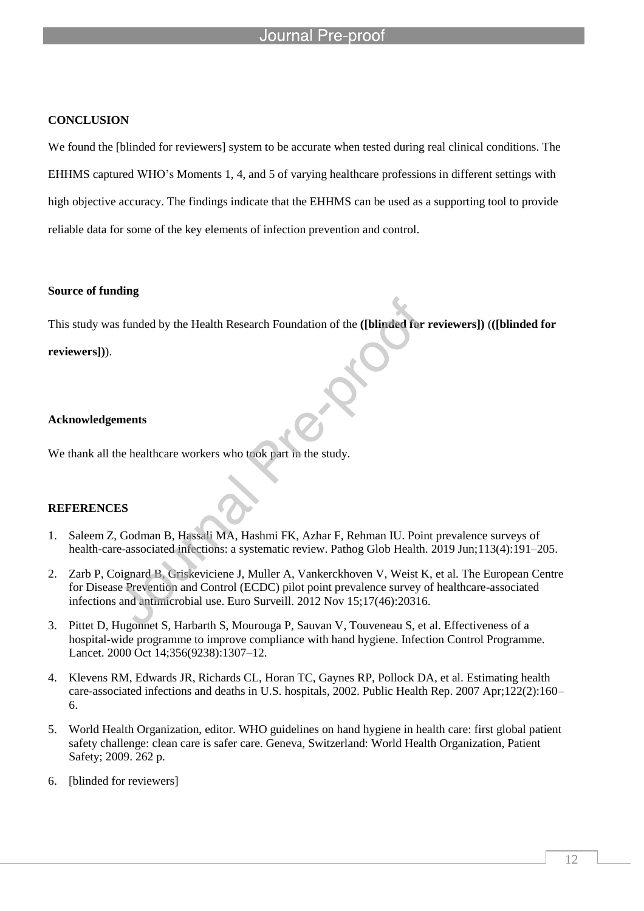#### Journal Pre-proof

l

#### **CONCLUSION**

We found the [blinded for reviewers] system to be accurate when tested during real clinical conditions. The EHHMS captured WHO's Moments 1, 4, and 5 of varying healthcare professions in different settings with high objective accuracy. The findings indicate that the EHHMS can be used as a supporting tool to provide reliable data for some of the key elements of infection prevention and control.

#### **Source of funding**

This study was funded by the Health Research Foundation of the **([blinded for reviewers])** (**([blinded for reviewers])**).

### **Acknowledgements**

We thank all the healthcare workers who took part in the study.

#### **REFERENCES**

- 1. Saleem Z, Godman B, Hassali MA, Hashmi FK, Azhar F, Rehman IU. Point prevalence surveys of health-care-associated infections: a systematic review. Pathog Glob Health. 2019 Jun;113(4):191–205.
- 2. Zarb P, Coignard B, Griskeviciene J, Muller A, Vankerckhoven V, Weist K, et al. The European Centre for Disease Prevention and Control (ECDC) pilot point prevalence survey of healthcare-associated infections and antimicrobial use. Euro Surveill. 2012 Nov 15;17(46):20316.
- 3. Pittet D, Hugonnet S, Harbarth S, Mourouga P, Sauvan V, Touveneau S, et al. Effectiveness of a hospital-wide programme to improve compliance with hand hygiene. Infection Control Programme. Lancet. 2000 Oct 14;356(9238):1307–12.
- 4. Klevens RM, Edwards JR, Richards CL, Horan TC, Gaynes RP, Pollock DA, et al. Estimating health care-associated infections and deaths in U.S. hospitals, 2002. Public Health Rep. 2007 Apr;122(2):160– 6.
- 5. World Health Organization, editor. WHO guidelines on hand hygiene in health care: first global patient safety challenge: clean care is safer care. Geneva, Switzerland: World Health Organization, Patient Safety; 2009. 262 p.
- 6. [blinded for reviewers]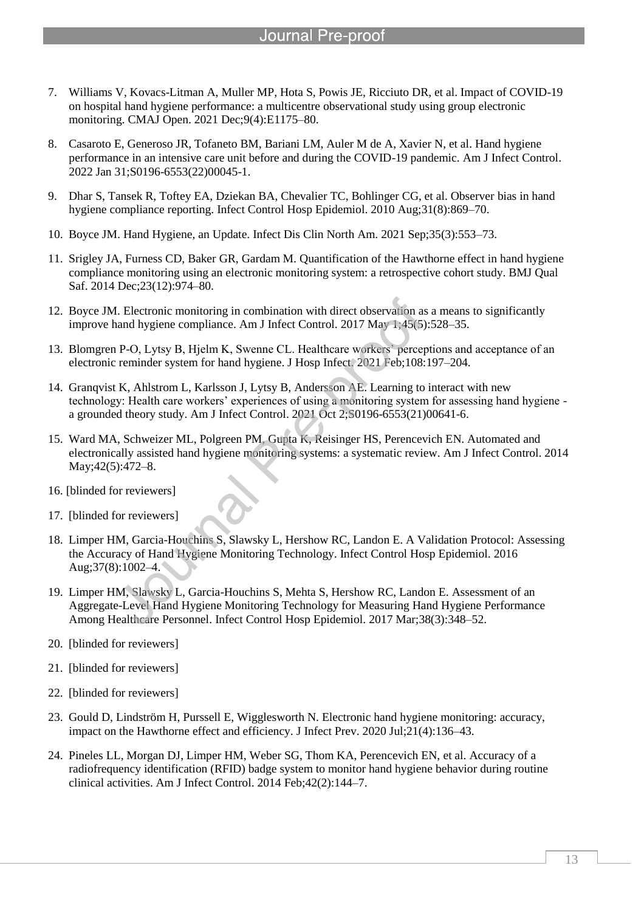- 7. Williams V, Kovacs-Litman A, Muller MP, Hota S, Powis JE, Ricciuto DR, et al. Impact of COVID-19 on hospital hand hygiene performance: a multicentre observational study using group electronic monitoring. CMAJ Open. 2021 Dec;9(4):E1175–80.
- 8. Casaroto E, Generoso JR, Tofaneto BM, Bariani LM, Auler M de A, Xavier N, et al. Hand hygiene performance in an intensive care unit before and during the COVID-19 pandemic. Am J Infect Control. 2022 Jan 31;S0196-6553(22)00045-1.
- 9. Dhar S, Tansek R, Toftey EA, Dziekan BA, Chevalier TC, Bohlinger CG, et al. Observer bias in hand hygiene compliance reporting. Infect Control Hosp Epidemiol. 2010 Aug;31(8):869–70.
- 10. Boyce JM. Hand Hygiene, an Update. Infect Dis Clin North Am. 2021 Sep;35(3):553–73.

l

- 11. Srigley JA, Furness CD, Baker GR, Gardam M. Quantification of the Hawthorne effect in hand hygiene compliance monitoring using an electronic monitoring system: a retrospective cohort study. BMJ Qual Saf. 2014 Dec;23(12):974–80.
- 12. Boyce JM. Electronic monitoring in combination with direct observation as a means to significantly improve hand hygiene compliance. Am J Infect Control. 2017 May 1;45(5):528–35.
- 13. Blomgren P-O, Lytsy B, Hjelm K, Swenne CL. Healthcare workers' perceptions and acceptance of an electronic reminder system for hand hygiene. J Hosp Infect. 2021 Feb;108:197–204.
- 14. Granqvist K, Ahlstrom L, Karlsson J, Lytsy B, Andersson AE. Learning to interact with new technology: Health care workers' experiences of using a monitoring system for assessing hand hygiene a grounded theory study. Am J Infect Control. 2021 Oct 2;S0196-6553(21)00641-6.
- 15. Ward MA, Schweizer ML, Polgreen PM, Gupta K, Reisinger HS, Perencevich EN. Automated and electronically assisted hand hygiene monitoring systems: a systematic review. Am J Infect Control. 2014 May;42(5):472–8.
- 16. [blinded for reviewers]
- 17. [blinded for reviewers]
- 18. Limper HM, Garcia-Houchins S, Slawsky L, Hershow RC, Landon E. A Validation Protocol: Assessing the Accuracy of Hand Hygiene Monitoring Technology. Infect Control Hosp Epidemiol. 2016 Aug;37(8):1002–4.
- 19. Limper HM, Slawsky L, Garcia-Houchins S, Mehta S, Hershow RC, Landon E. Assessment of an Aggregate-Level Hand Hygiene Monitoring Technology for Measuring Hand Hygiene Performance Among Healthcare Personnel. Infect Control Hosp Epidemiol. 2017 Mar;38(3):348–52.
- 20. [blinded for reviewers]
- 21. [blinded for reviewers]
- 22. [blinded for reviewers]
- 23. Gould D, Lindström H, Purssell E, Wigglesworth N. Electronic hand hygiene monitoring: accuracy, impact on the Hawthorne effect and efficiency. J Infect Prev. 2020 Jul;21(4):136–43.
- 24. Pineles LL, Morgan DJ, Limper HM, Weber SG, Thom KA, Perencevich EN, et al. Accuracy of a radiofrequency identification (RFID) badge system to monitor hand hygiene behavior during routine clinical activities. Am J Infect Control. 2014 Feb;42(2):144–7.